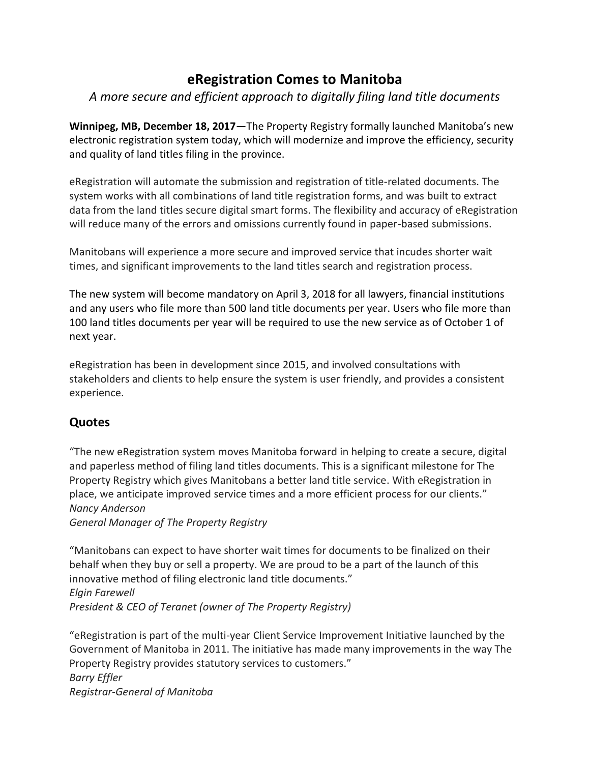# **eRegistration Comes to Manitoba**

### *A more secure and efficient approach to digitally filing land title documents*

**Winnipeg, MB, December 18, 2017**—The Property Registry formally launched Manitoba's new electronic registration system today, which will modernize and improve the efficiency, security and quality of land titles filing in the province.

eRegistration will automate the submission and registration of title-related documents. The system works with all combinations of land title registration forms, and was built to extract data from the land titles secure digital smart forms. The flexibility and accuracy of eRegistration will reduce many of the errors and omissions currently found in paper-based submissions.

Manitobans will experience a more secure and improved service that incudes shorter wait times, and significant improvements to the land titles search and registration process.

The new system will become mandatory on April 3, 2018 for all lawyers, financial institutions and any users who file more than 500 land title documents per year. Users who file more than 100 land titles documents per year will be required to use the new service as of October 1 of next year.

eRegistration has been in development since 2015, and involved consultations with stakeholders and clients to help ensure the system is user friendly, and provides a consistent experience.

## **Quotes**

"The new eRegistration system moves Manitoba forward in helping to create a secure, digital and paperless method of filing land titles documents. This is a significant milestone for The Property Registry which gives Manitobans a better land title service. With eRegistration in place, we anticipate improved service times and a more efficient process for our clients." *Nancy Anderson General Manager of The Property Registry*

"Manitobans can expect to have shorter wait times for documents to be finalized on their behalf when they buy or sell a property. We are proud to be a part of the launch of this innovative method of filing electronic land title documents." *Elgin Farewell*

*President & CEO of Teranet (owner of The Property Registry)* 

"eRegistration is part of the multi-year Client Service Improvement Initiative launched by the Government of Manitoba in 2011. The initiative has made many improvements in the way The Property Registry provides statutory services to customers." *Barry Effler Registrar-General of Manitoba*